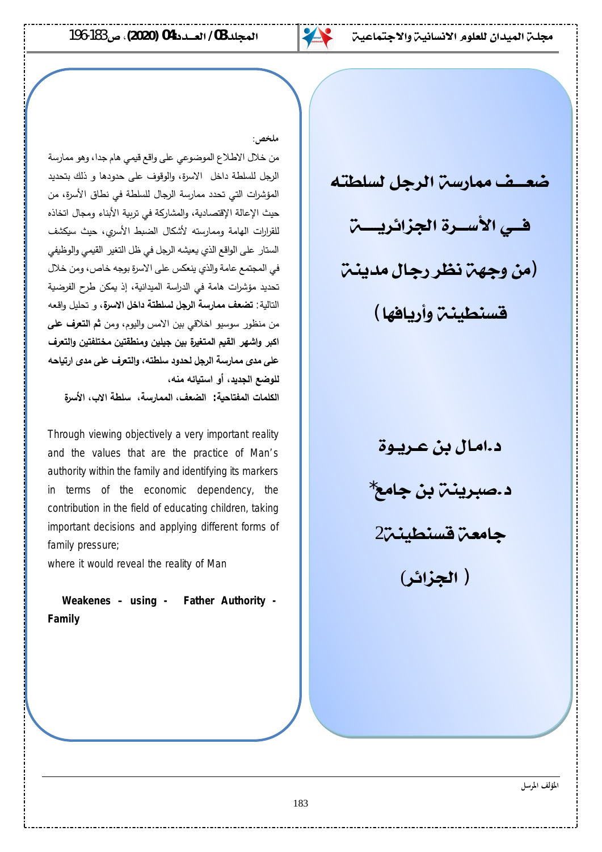

#### ملخ<u>ص:</u>

من خلال الاطلاع الموضوعي على واقع قيمي هام جدا، وهو ممارسة الرجل للسلطة داخل الاسرة، والوقوف على حدودها و ذلك بتحديد المؤشرات التي تحدد ممارسة الرجال للسلطة في نطاق الأسرة، من حيث الإعالة الإقتصادية، والمشاركة في تربية الأبناء ومجال اتخاذه للقرارات الهامة وممارسته لأشكال الضبط الأسري، حيث سيكشف الستار على الواقع الذي يعيشه الرجل في ظل التغير القيمي والوظيفي في المجتمع عامة والذي ينعكس على الاسرة بوجه خاص، ومن خلال تحديد مؤشرات هامة في الدراسة الميدانية، إذ يمكن طرح الفرضية التالية: **تضعف ممارسة الرجل لسلطتة داخل الاسرة**، و تحليل واقعه من منظور سوسيو اخلاقي بين الامس واليوم، ومن **ثم التعرف على** اكبر وإشهر القيم المتغيرة بين جيلين ومنطقتين مختلفتين والتعرف على مدى ممارسة الرجل لحدود سلطته، والتعرف على مدى ارتياحه للوضع الجديد، أو استيائه منه،

 **¨ʙŪƕ¦§ƙ¦ŗʠƄŪ ŗŪ°œʸʸƃ¦Ȅɹʷƃ¦ :ŗॻšœʯŽʸƃ¦©œʸƄؒƃ¦**

Through viewing objectively a very important reality and the values that are the practice of Man's authority within the family and identifying its markers in terms of the economic dependency, the contribution in the field of educating children, taking important decisions and applying different forms of family pressure;

where it would reveal the reality of Man

 **Weakenes – using - Father Authority - Family**

ضعضف ممارسين الرجل لسلطته في الأسـرة الجزائريـــــــ (من وجهن نظر رجال مدينـــ فسنطيني وأربافها)

> د.امـال بن عـريـوة د .صبرينـٽ بن جامع ً جامعة قسنطينة (**źŗřżŬƫř )**

> > **المؤلف الموسل**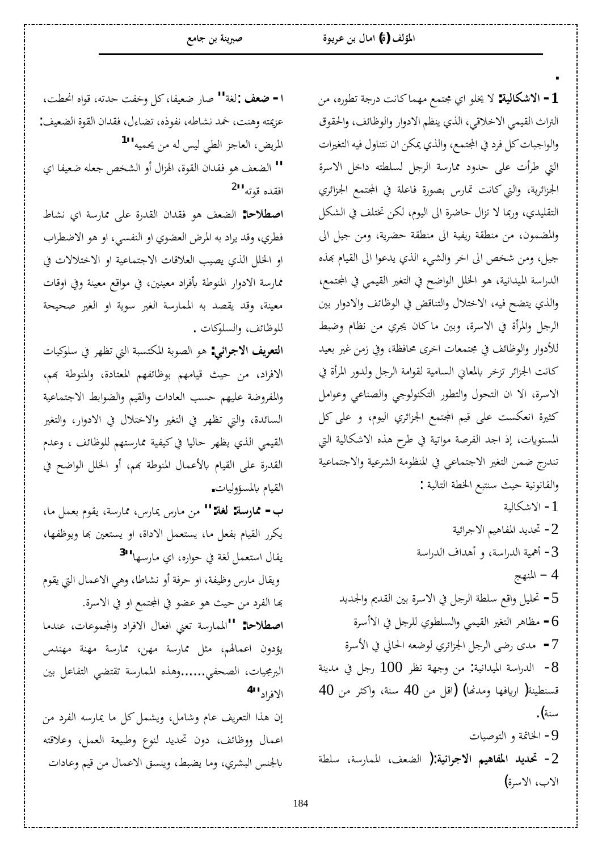ǺǷǽ°ȂǘƫƨƳ°®ƪǻƢǯƢǸȀǷǞǸƬůĦȂǴźȏ **:ƨȈdzƢǰNjȏ¦ -1** التراث القيمي الاخلاقي، الذي ينظم الادوار والوظائف، والحقوق والواجبات كل فرد في المجتمع، والذي يمكن ان نتناول فيه التغيرات التي طرأت على حدود ممارسة الرجل لسلطته داخل الاسرة الجزائرية، والتي كانت تمارس بصورة فاعلة في المجتمع الجزائري التقليدي، وربما لا تزال حاضرة الى اليوم، لكن تختلف في الشكل والمضمون، من منطقة ريفية الى منطقة حضرية، ومن جيل الى جيل، ومن شخص الى اخر والشيء الذي يدعوا الى القيام بهذه الدراسة الميدانية، هو الخلل الواضح في التغير القيمي في المجتمع، والذي يتضح فيه، الاختلال والتناقض في الوظائف والادوار بين الرجل والمرأة في الاسرة، وبين ماكان يجري من نظام وضبط للأدوار والوظائف في مجتمعات اخرى محافظة، وفي زمن غير بعيد كانت الجزائر تزخر بالمعاني السامية لقوامة الرجل ولدور المرأة في الاسرة، الا ان التحول والتطور التكنولوجي والصناعي وعوامل كثيرة انعكست على قيم المجتمع الجزائري اليوم، و على كل المستويات، إذ اجد الفرصة مواتية في طرح هذه الاشكالية التي تندرج ضمن التغير الاجتماعي في المنظومة الشرعية والاجتماعية والقانونية حيث سنتبع الخطة التالية : ƨȈdzƢǰNjȏ¦ -1 ے تحدید المفاهیم الاجرائیة 2 أهمية الدراسة، و أهداف الدراسة $3$ 4 – المنهج 5 - تحليل واقع سلطة الرجل في الاسرة بين القديم والجديد ق− مظاهر التغير القيمي والسلطوي للرجل في الاأسرة − مدى رضى الرجل الجزائري لوضعه الحالي في الأسرة ح الدراسة الميدانية: من وجهة نظر 100 رجل في مدينة -قسنطينة( اريافها ومدنها) (اقل من 40 سنة، واكثر من 40 سنة). **0− الخاتمة و التوصيات** .<br>2- تحديد المفاهيم الاجرائية:( الضعف، الممارسة، سلطة الاب، الاسرة)

**.**

ا**- ضعف :**لغة'' صار ضعيفا،كل وخفت حدته، قواه انحطت، عزيمته وهنت، خمد نشاطه، نفوذه، تضاءل، فقدان القوة الضعيف: المريض، العاجز الطي ليس له من يحميه<sup>[1](#page-13-0)11</sup> ĦƢǨȈǠǓǾǴǠƳǎƼnjdz¦Â¢¾¦DŽ٦¨ȂǬdz¦À¦ƾǬǧȂǿǦǠǔdz¦ **''** افقده قوته<sup>11</sup>

<mark>اصطلاحا:</mark> الضعف هو فقدان القدرة على ممارسة اي نشاط فطري، وقد يراد به المرض العضوي او النفسي، او هو الاضطراب او الخلل الذي يصيب العلاقات الاجتماعية او الاختلالات في ممارسة الادوار المنوطة بأفراد معينين، في مواقع معينة وفي اوقات معينة، وقد يقصد به الممارسة الغير سوية او الغير صحيحة للوظائف، والسلوكات .

ا**لتعريف الاجرائي:** هو الصوبة المكتسبة التي تظهر في سلوكيات الافراد، من حيث قيامهم بوظائفهم المعتادة، والمنوطة بهم، والمفروضة عليهم حسب العادات والقيم والضوابط الاجتماعية السائدة، والتي تظهر في التغير والاختلال في الادوار، والتغير القيمي الذي يظهر حاليا في كيفية ممارستهم للوظائف ، وعدم القدرة على القيام بالأعمال المنوطة بهم، أو الخلل الواضح في القيام بالمسؤوليات.

 ƢǷDzǸǠƥ¿ȂǬȇƨLJ°ƢŲ²°Ƣݲ°ƢǷǺǷ **'':ƨǤdz :ƨLJ°ƢŲ -§** یکرر القیام بفعل ما، یستعمل الاداة، او یستعین بها ویوظفها، يقال استعمل لغة في حواره، اي مارسها<sup>[3](#page-13-2)1</sup>' ويقال مارس وظيفة، او حرفة أو نشاطا، وهي الاعمال التي يقوم بِها الفرد من حيث هو عضو في المجتمع او في الاسرة. ا**صطلاحا: "ا**لممارسة تعني افعال الافراد والمجموعات، عندما يؤدون اعمالهم، مثل ممارسة مهارسة مهنة مهندس البرمجيات، الصحفى......وهذه الممارسة تقتضى التفاعل بين الافاد ''<sup>[4](#page-13-3)</sup>

إن هذا التعريف عام وشامل، ويشمل كل ما يمارسه الفرد من اعمال ووظائف، دون تحديد لنوع وطبيعة العمل، وعلاقته بالجنس البشري، وما يضبط، وينسق الاعمال من قيم وعادات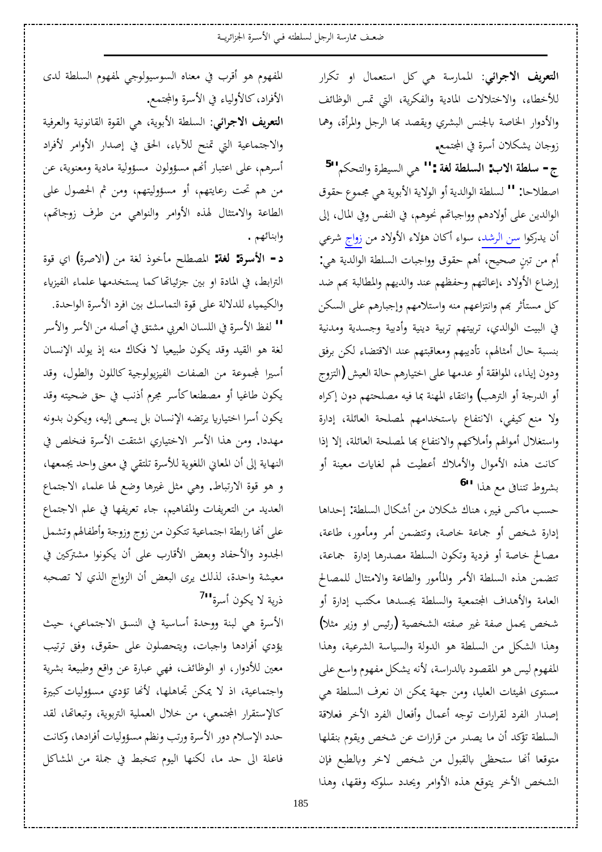ا**لتعريف الاجرائي**: الممارسة هي كل استعمال او تكرار للأخطاء، والاختلالات المادية والفكرية، التي تمس الوظائف والأدوار الخاصة بالجنس البشري ويقصد بها الرجل والمرأة، وهما زوجان يشكلان أسرة في المجتمع.

ج- **سلطة الاب: السلطة لغة :''** هي السيطرة والتحكم''<sup>[5](#page-13-4)</sup> اصطلاحا: " لسلطة الوالدية أو الولاية الأبوية هي مجموع حقوق الوالدين على أولادهم وواجباتهم نحوهم، في النفس وفي المال، إلى أن يدركوا سن الرشد، سواء أكان هؤلاء الأولاد من زواج شرعي أم من تبنٍ صحيح، أهم حقوق وواجبات السلطة الوالدية هي: إرضاع الأولاد ،إعالتهم وحفظهم عند والديهم والمطالبة بهم ضد كل مستأثر بهم وانتزاعهم منه واستلامهم وإجبارهم على السكن في البيت الوالدي، تربيتهم تربية دينية وأدبية وجسدية ومدنية بنسبة حال أمثالهم، تأديبهم ومعاقبتهم عند الاقتضاء لكن برفق ودون إيذاء، الموافقة أو عدمها على اختيارهم حالة العيش (التزوج أو الدرجة أو الترهب) وانتقاء المهنة بما فيه مصلحتهم دون إكراه ولا منع كيفي، الانتفاع باستخدامهم لمصلحة العائلة، إدارة واستغلال أموالهم وأملاكهم والانتفاع بما لمصلحة العائلة، إلا إذا كانت هذه الأموال والأملاك أعطيت لهم لغايات معينة أو بشروط تتنافى مع هذا <sup>[6](#page-13-5)11</sup>

حسب ماكس فيبر، هناك شكلان من أشكال السلطة: إحداها إدارة شخص أو جماعة خاصة، وتتضمن أمر ومأمور، طاعة، مصالح خاصة أو فردية وتكون السلطة مصدرها إدارة جماعة، تتضمن هذه السلطة الأمر والمأمور والطاعة والامتثال للمصالح العامة والأهداف المجتمعية والسلطة يجسدها مكتب إدارة أو شخص يحمل صفة غير صفته الشخصية (رئيس او وزير مثلا) وهذا الشكل من السلطة هو الدولة والسياسة الشرعية، وهذا المفهوم ليس هو المقصود بالدراسة، لأنه يشكل مفهوم واسع على مستوى الهيئات العليا، ومن جهة يمكن ان نعرف السلطة هي إصدار الفرد لقرارات توجه أعمال وأفعال الفرد الأخر فعلاقة السلطة تؤكد أن ما يصدر من قرارات عن شخص ويقوم بنقلها متوقعا أنها ستحظى بالقبول من شخص لاخر وبالطبع فإن الشخص الأخر يتوقع هذه الأوامر ويحدد سلوكه وفقها، وهذا

المفهوم هو أقرب في معناه السوسيولوجي لمفهوم السلطة لدى الأفراد، كالأولياء في الأسرة والمجتمع.

ا**لتعريف الاجرائي**: السلطة الأبوية، هي القوة القانونية والعرفية والاجتماعية التي تمنح للآباء، الحق في إصدار الأوامر لأفراد أسرهم، على اعتبار أنهم مسؤولون مسؤولية مادية ومعنوية، عن من هم تحت رعايتهم، أو مسؤوليتهم، ومن ثم الحصول على الطاعة والامتثال لهذه الأوامر والنواهي من طرف زوجاتهم، وابنائهم .

**د− الأسوة: لغة:** المصطلح مأخوذ لغة من (الاصرة) اي قوة الترابط، في المادة او بين جزئياتها كما يستخدمها علماء الفيزياء والكيمياء للدلالة على قوة التماسك بين افرد الأسرة الواحدة. ǂLJȋ¦ÂǂLJȋ¦ǺǷǾǴǏ¢ĿǪƬnjǷĺǂǠdz¦ÀƢLjǴdz¦Ŀ¨ǂLJȋ¦ǚǨdz **''** لغة هو القيد وقد يكون طبيعيا لا فكاك منه إذ يولد الإنسان أسيرا لمجموعة من الصفات الفيزيولوجية كاللون والطول، وقد يكون طاغيا أو مصطنعاكأسر مجرم أذنب في حق ضحيته وقد يكون أسرا اختياريا يرتضه الإنسان بل يسعى إليه، ويكون بدونه مهددا. ومن هذا الأسر الاختياري اشتقت الأسرة فنخلص في النهاية إلى أن المعاني اللغوية للأسرة تلتقي في معنى واحد يجمعها، و هو قوة الارتباط. وهي مثل غيرها وضع لها علماء الاجتماع العديد من التعريفات والمفاهيم، جاء تعريفها في علم الاجتماع على أنحا رابطة اجتماعية تتكون من زوج وزوجة وأطفالهم وتشمل الجدود والأحفاد وبعض الأقارب على أن يكونوا مشتركين في معيشة واحدة، لذلك يرى البعض أن الزواج الذي لا تصحبه ذرية لا يكون أسرة<sup>11</sup>

الأسرة هي لبنة ووحدة أساسية في النسق الاجتماعي، حيث يؤدي أفرادها واجبات، ويتحصلون على حقوق، وفق ترتيب معين للأدوار، او الوظائف، فهي عبارة عن واقع وطبيعة بشرية .<br>واجتماعية، اذ لا يمكن تجاهلها، لأنها تؤدي مسؤوليات كبيرة كالإستقرار المجتمعي، من خلال العملية التربوية، وتبعائما، لقد حدد الإسلام دور الأسرة ورتب ونظم مسؤوليات أفرادها، وكانت فاعلة الى حد ما، لكنها اليوم تتخبط في جملة من المشاكل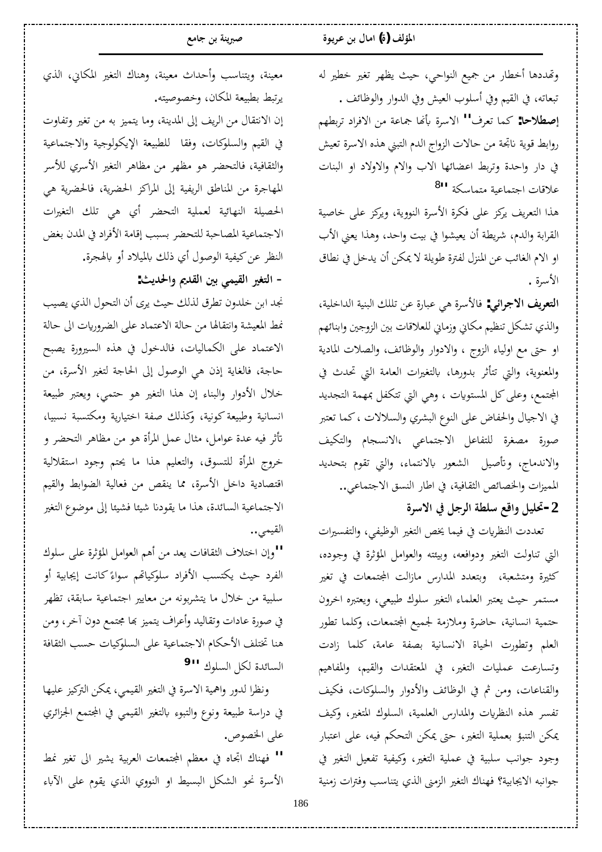وتهددها أخطار من جميع النواحي، حيث يظهر تغير خطير له تبعاته، في القيم وفي أسلوب العيش وفي الدوار والوظائف . إ**صطلاحا:** كما تعرف'' الاسرة بأنها جماعة من الافراد تربطهم روابط قوية ناتجة من حالات الزواج الدم التبني هذه الاسرة تعيش في دار واحدة وتربط اعضائها الاب والام والاولاد او البنات علاقات اجتماعية متماسكة <sup>[8](#page-13-7)11</sup>

هذا التعريف يركز على فكرة الأسرة النووية، ويركز على خاصية القرابة والدم، شريطة أن يعيشوا في بيت واحد، وهذا يعني الأب اوِ الام الغائب عن المنزل لفترة طويلة لا يمكن أن يدخل في نطاق الأسرة .

ا**لتعريف الاجرائي:** فالأسرة هي عبارة عن تللك البنية الداخلية، والذي تشكل تنظيم مكاني وزماني للعلاقات بين الزوجين وابنائهم او حتى مع اولياء الزوج ، والادوار والوظائف، والصلات المادية والمعنوية، والتي تتأثر بدورها، بالتغيرات العامة التي تحدث في المجتمع، وعلى كل المستويات ، وهي التي تتكفل بمهمة التجديد في الاجيال والحفاض على النوع البشري والسلالات ، كما تعتبر صورة مصغرة للتفاعل الاجتماعي ،الانسجام والتكيف والاندماج، وتأصيل الشعور بالانتماء، والتي تقوم بتحديد المميزات والخصائص الثقافية، في اطار النسق الاجتماعي..

# $\mathbf{2}$ −تحليل واقع سلطة الرجل في الاسرة

تعددت النظريات في فيما يخص التغير الوظيفي، والتفسيرات التي تناولت التغير ودوافعه، وبيئته والعوامل المؤثرة في وجوده، كثيرة ومتشعبة، وبتعدد المدارس مازالت المجتمعات في تغير مستمر حيث يعتبر العلماء التغير سلوك طبيعي، ويعتبره اخرون حتمية انسانية، حاضرة وملازمة لجميع المجتمعات، وكلما تطور العلم وتطورت الحياة الانسانية بصفة عامة، كلما زادت وتسارعت عمليات التغير، في المعتقدات والقيم، والمفاهيم والقناعات، ومن ثم في الوظائف والأدوار والسلوكات، فكيف تفسير هذه النظريات والمدارس العلمية، السلوك المتغير، وكيف ِيمكن التنبؤ بعملية التغير، حتى يمكن التحكم فيه، على اعتبار وجود جوانب سلبية في عملية التغير، وكيفية تفعيل التغير في جوانبه الايجابية؟ فهناك التغير الزمني الذي يتناسب وفترات زمنية

معينة، ويتناسب وأحداث معينة، وهناك التغير المكاني، الذي يرتبط بطبيعة المكان، وخصوصيته.

إن الانتقال من الريف إلى المدينة، وما يتميز به من تغير وتفاوت في القيم والسلوكات، وفقا ًللطبيعة الإيكولوجية والاجتماعية والثقافية، فالتحضر هو مظهر من مظاهر التغير الأسري للأسر المهاجرة من المناطق الريفية إلى المراكز الحضرية على ا الحصيلة النهائية لعملية التحضر أي ه<sub>ي</sub> تلك التغيرات الاجتماعية المصاحبة للتحضر بسبب إقامة الأفراد في المدن بغض النظر عن كيفية الوصول أي ذلك بالميلاد أو بالهجرة. - التغير القيمي بين القد<u>يم</u> والحديث:

نجد ابن خلدون تطرق لذلك حيث يرى أن التحول الذي يصيب .<br>غط المعيشة وانتقالها من حالة الاعتماد على الضروريات الى حالة الاعتماد على الكماليات، فالدخول في هذه السيرورة يصبح حاجة، فالغاية إذن هي الوصول إلى الحاجة لتغير الأسرة، من خلال الأدوار والبناء إن هذا التغير هو حتمي، ويعتبر طبيعة انسانية وطبيعة كونية، وكذلك صفة اختيارية ومكتسبة نسبيا، تأثر فيه عدة عوامل، مثال عمل المرأة هو من مظاهر التحضر و خروج المرأة للتسوق، والتعليم هذا ما يحتم وجود استقلالية اقتصادية داخل الأسرة، مما ينقص من فعالية الضوابط والقيم الاجتماعية السائدة، هذا ما يقودنا شيئا فشيئا إلى موضوع التغير القيمي **..** 

 ½ȂǴLJȄǴǟ¨ǂƯƚŭ¦DzǷ¦ȂǠdz¦Ƕǿ¢ǺǷƾǠȇ©ƢǧƢǬưdz¦»ȐƬƻ¦À¤Â**''** الفرد حيث يكتسب الأفراد سلوكياتهم سواءً كانت إيجابية أو Å سلبية من خلال ما يتشربونه من معايير اجتماعية سابقة، تظهر في صورة عادات وتقاليد وأعراف يتميز بها مجتمع دون آخر، ومن هنا تختلف الأحكام الاجتماعية على السلوكيات حسب الثقافة السائدة لكل السلوك <sup>11</sup> [9](#page-13-8)

ونظرا لدور واهمية الاسرة في التغير القيمي، يمكن التركيز عليها في دراسة طبيعة ونوع والتبوء بالتغير القيمي في المجتمع الجزائري على الخصوص.

" فهناك اتجاه في معظم المجتمعات العربية يشير الى تغير نمط الأسرة نحو الشكل البسيط او النووي الذي يقوم على الآباء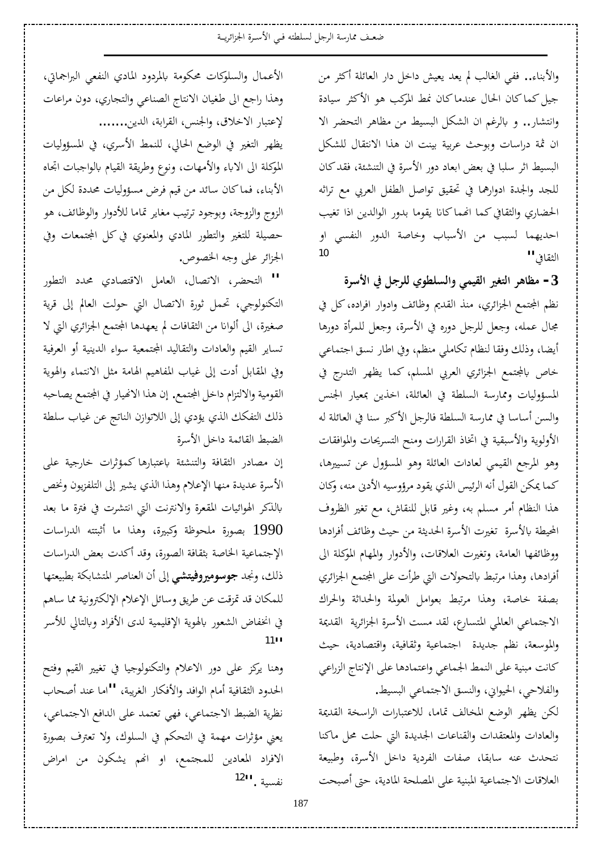ضعف ممارسة الرجل لسلطته فـي الأسـرة الجزائريــة

والأبناء.. ففي الغالب لم يعد يعيش داخل دار العائلة أكثر من جيل كماكان الحال عندماكان نمط المركب هو الأكثر سيادة وانتشار.. و بالرغم ان الشكل البسيط من مظاهر التحضر الا ان ثمة دراسات وبوحث عربية بينت ان هذا الانتقال للشكل البسيط اثر سلبا في بعض ابعاد دور الأسرة في التنشئة، فقد كان للجد والجدة ادوارهما في تحقيق تواصل الطفل العربي مع تراثه الحضاري والثقافي كما انهماكانا يقوما بدور الوالدين اذا تغيب احديهما لسبب من الأسباب وخاصة الدور النفسي او الثقافي **' '** 

 **¨ǂLJȋ¦ĿDzƳǂǴdzÄȂǘǴLjdz¦ÂȆǸȈǬdz¦ŚǤƬdz¦ǂǿƢǜǷ -3** نظم المجتمع الجزائري، منذ القديم وظائف وإدوار افراده، كل في مجال عمله، وجعل للرجل دوره في الأسرة، وجعل للمرأة دورها أيضا، وذلك وفقا لنظام تكاملي منظم، وفي اطار نسق اجتماعي خاص بالمجتمع الجزائري العربي المسلم، كما يظهر التدرج في المسؤوليات وممارسة السلطة في العائلة، اخذين بمعيار الجنس والسين أساسا في ممارسة السلطة فالرجل الأكبر سنا في العائلة له الأولوية والأسبقية في اتخاذ القرارات ومنح التسريحات والموافقات وهو المرجع القيمي لعادات العائلة وهو المسؤول عن تسييرها، كما يمكن القول أنه الرئيس الذي يقود مرؤوسيه الأدني منه، وكان هذا النظام أمر مسلم به، وغير قابل للنقاش، مع تغير الظروف المحيطة بالأسرة تغيرت الأسرة الحديثة من حيث وظائف أفرادها ووظائفها العامة، وتغيرت العلاقات، والأدوار والمهام الموكلة الي أفرادها، وهذا مرتبط بالتحولات التي طرأت على المجتمع الجزائري بصفة خاصة، وهذا مرتبط بعوامل العولمة والحداثة والحراك الاجتماعي العالمي المتسارع، لقد مست الأسرة الجزائرية القديمة والموسعة، نظم جديدة اجتماعية وثقافية، واقتصادية، حيث كانت مبنية على النمط الجماعي واعتمادها على الإنتاج الزراعي والفلاحي، الحيواني، والنسق الاجتماعي البسيط.

لكن يظهر الوضع المخالف تماما، للاعتبارات الراسخة القديمة والعادات والمعتقدات والقناعات الجديدة التي حلت محل ماكنا نتحدث عنه سابقا، صفات الفردية داخل الأسرة، وطبيعة العلاقات الاجتماعية المبنية على المصلحة المادية، حتى أصبحت

الأعمال والسلوكات محكومة بالمردود المادي النفعي البراجماتي، وهذا راجع الى طغيان الانتاج الصناعي والتجاري، دون مراعات لإعتبار الاخلاق، والجنس، القرابة، الدين........

يظهر التغير في الوضع الحالي، للنمط الأسري، في المسؤوليات الموكلة الى الاباء والأمهات، ونوع وطريقة القيام بالواجبات اتجاه الأبناء، فماكان سائد من قيم فرض مسؤوليات محددة لكل من الزوج والزوجة، وبوجود ترتيب مغاير تماما للأدوار والوظائف، هو حصيلة للتغير والتطور المادي والمعنوي في كل المجتمعات وفي الجزائر على وجه الخصوص.

 °ȂǘƬdz¦ ®ƾŰ Ä®ƢǐƬǫȏ¦ DzǷƢǠdz¦ ¾Ƣǐƫȏ¦ ǂǔƸƬdz¦ **''** التكنولوجي، تحمل ثورة الاتصال التي حولت العالم إلى قرية صغيرة، الى ألوانا من الثقافات لم يعهدها المجتمع الجزائري التي لا تساير القيم والعادات والتقاليد المجتمعية سواء الدينية أو العرفية وفي المقابل أدت إلى غياب المفاهيم الهامة مثل الانتماء والهوية القومية والالتزام داخل المجتمع. إن هذا الانهيار في المجتمع يصاحبه ذلك التفكك الذي يؤدي إلى اللاتوازن الناتج عن غياب سلطة الضبط القائمة داخل الأسرة

إن مصادر الثقافة والتنشئة باعتبارها كمؤثرات خارجية على الأسرة عديدة منها الإعلام وهذا الذي يشير إلى التلفزيون ونخص بالذكر الهوائيات المقعرة والانترنت التي انتشرت في فترة ما بعد ©ƢLJ¦°ƾdz¦ ǾƬƬƦƯ¢ ƢǷ ¦ǀǿÂ ¨ŚƦǯ ƨǛȂƸǴǷ ¨°Ȃǐƥ 1990 الإجتماعية الخاصة بثقافة الصورة، وقد أكدت بعض الدراسات ذلك، ونجد **جوسوميروفيتشي** إلى أن العناصر المتشابكة بطبيعتها للمكان قد تمزقت عن طريق وسائل الإعلام الإلكترونية مما ساهم في انخفاض الشعور بالهوية الإقليمية لدى الأفراد وبالتالي للأسر  $1111$  $1111$ 

وهنا يركز على دور الاعلام والتكنولوجيا في تغيير القيم وفتح الحدود الثقافية أمام الوافد والأفكار الغريبة، "'اما عند أصحاب نظرية الضبط الاجتماعي، فهي تعتمد على الدافع الاجتماعي، يعني مؤثرات مهمة في التحكم في السلوك، ولا تعترف بصورة الافراد المعادين للمجتمع، او انهم يشكون من امراض نفسية .''<sup>[12](#page-13-11)</sup>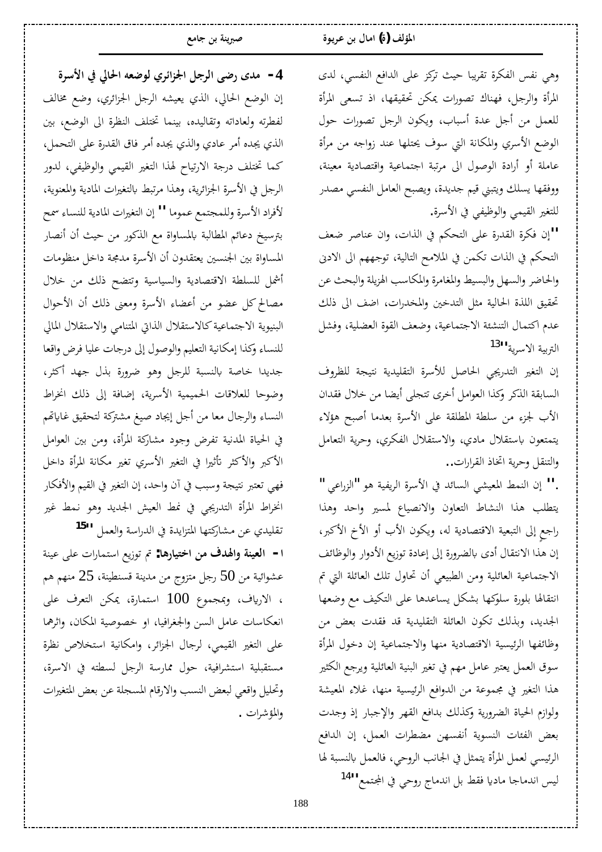وهي نفس الفكرة تقريبا حيث تركز على الدافع النفسي، لدى المرأة والرجل، فهناك تصورات يمكن تحقيقها، اذ تسعى المرأة للعمل من أجل عدة أسباب، ويكون الرجل تصورات حول الوضع الأسري والمكانة التي سوف يحتلها عند زواجه من مرأة عاملة أو أرادة الوصول الى مرتبة اجتماعية واقتصادية معينة، ووفقها يسلك ويتبنى قيم جديدة، ويصبح العامل النفسي مصدر للتغير القيمي والوظيفي في الأسرة.

لمان فكرة القدرة على التحكم في الذات، وان عناصر ضعف" التحكم في الذات تكمن في الملامح التالية، توجههم الى الادبى والحاضر والسهل والبسيط والمغامرة والمكاسب الهزيلة والبحث عن تحقيق اللذة الحالية مثل التدخين والمخدرات، اضف الى ذلك عدم اكتمال التنشئة الاجتماعية، وضعف القوة العضلية، وفشل التربية الاسرية<sup>[13](#page-13-12)</sup>'

إن التغير التدريجي الحاصل للأسرة التقليدية نتيجة للظروف السابقة الذكر وكذا العوامل أخرى تتجلى أيضا من خلال فقدان الأب لجزء من سلطة المطلقة على الأسرة بعدما أصبح هؤلاء يتمتعون باستقلال مادي، والاستقلال الفكري، وحرية التعامل والتنقل وحرية اتخاذ القرارات..

.'' إن النمط المعيشي السائد في الأسرة الريفية هو "الزراعي " يتطلب هذا النشاط التعاون والانصياع لمسير واحد وهذا راجع إلى التبعية الاقتصادية له، ويكون الأب أو الأخ الأكبر، إن هذا الانتقال أدى بالضرورة إلى إعادة توزيع الأدوار والوظائف الاجتماعية العائلية ومن الطبيعي أن تحاول تلك العائلة التي تم انتقالها بلورة سلوكها بشكل يساعدها على التكيف مع وضعها الجديد، وبذلك تكون العائلة التقليدية قد فقدت بعض من وظائفها الرئيسية الاقتصادية منها والاجتماعية إن دخول المرأة سوڤ العمل يعتبر عامل مهم في تغير البنية العائلية ويرجع الكثير هذا التغير في مجموعة من الدوافع الرئيسية منها، غلاء المعيشة ولوازم الحياة الضرورية وكذلك بدافع القهر والإجبار إذ وجدت بعض الفئات النسوية أنفسهن مضطرات العمل، إن الدافع الرئيسي لعمل المرأة يتمثل في الجانب الروحي، فالعمل بالنسبة لها ليس اندماجا ماديا فقط بل اندماج روحي في المجتمع<sup>.[14](#page-13-13)</sup>'

 **¨ǂLJȋ¦ĿŅƢū¦ǾǠǓȂdzÄǂƟ¦DŽŪ¦DzƳǂdz¦ȄǓ° ÃƾǷ -4** إن الوضع الحالي، الذي يعيشه الرجل الجزائري، وضع مخالف لفطرته ولعاداته وتقاليده، بينما تختلف النظرة الى الوضع، بين الذي يجده أمر عادي والذي يجده أمر فاق القدرة على التحمل، كما تختلف درجة الارتياح لهذا التغير القيمي والوظيفي، لدور الرجل في الأسرة الجزائرية، وهذا مرتبط بالتغيرات المادية والمعنوية، لأفراد الأسرة وللمجتمع عموما " إن التغيرات المادية للنساء <sup>س</sup>مح بترسيخ دعائم المطالبة بالمساواة مع الذكور من حيث أن أنصار المساواة بين الجنسين يعتقدون أن الأسرة مدمجة داخل منظومات أشمل للسلطة الاقتصادية والسياسية وتتضح ذلك من خلال مصالح كل عضوٍ من أعضاء الأسرة ومعنى ذلك أن الأحوال البنيوية الاجتماعية كالاستقلال الذاتي المتنامي والاستقلال المالي للنساء وكذا إمكانية التعليم والوصول إلى درجات عليا فرض واقعا جديدا خاصة بالنسبة للرجل وهو ضرورة بذل جهد أكثر، وضوحا للعلاقات الحميمية الأسرية، إضافة إلى ذلك انخراط النساء والرجال معا من أجل إيجاد صيغ مشتركة لتحقيق غاياتهم في الحياة المدنية تفرض وجود مشاركة المرأة، ومن بين العوامل الأكبر والأكثر تأثيرا في التغير الأسري تغير مكانة المرأة داخل فهي تعتبر نتيجة وسبب في آن واحد، إن التغير في القيم والأفكار انخراط المرأة التدريجي في نمط العيش الجديد وهو نمط غير تقليدي عن مشاركتها المتزايدة في الدراسة والعمل <sup>[15](#page-13-14)1</sup>

ا**م العينة والهدف من اختيارها:** تم توزيع استمارات على عينة عشوائية من 50 رجل متزوج من مدينة قسنطينة، 25 منهم هم ، الارياف، وبمجموع 100 استمارة، يمكن التعرف على انعكاسات عامل السن والجغرافيا، او خصوصية المكان، واثرهما على التغير القيمي، لرجال الجزائر، وامكانية استخلاص نظرة مستقبلية استشرافية، حول ممارسة الرجل لسطته في الاسرة، وتحليل واقعي لبعض النسب والارقام المسجلة عن بعض المتغيرات والمؤشرات .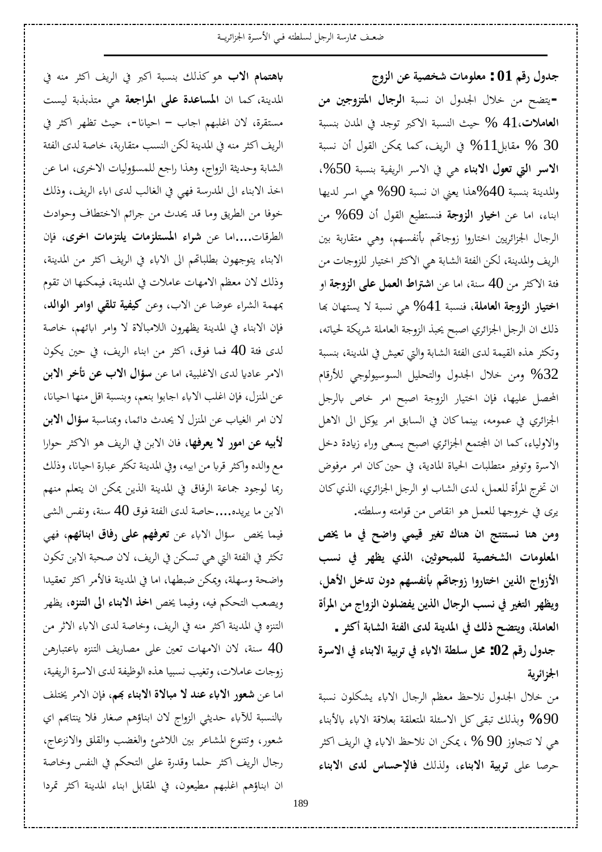**«ÂDŽdz¦ǺǟƨȈǐƼNj©ƢǷȂǴǠǷ : 01Ƕǫ°¾ÂƾƳ** - يتضح من خلال الجدول ان نسبة **الرجال المتزوجين من** ا**لعاملات،4**1 % حيث النسبة الاكبر توجد في المدن بنسبة قطابل $11$  % فقابل أن نسبة  $\%~30$ الاسو التي تعول الابناء <sub>هي</sub> في الاسر الريفية بنسبة 50%، والمدينة بنسبة 40%هذا يعني ان نسبة 90% هي اسر لديها ابناء، اما عن **اخيار الزوجة** فنستطيع القول أن 69% من الرجال الجزائريين اختاروا زوجاتهم بأنفسهم، وهي متقاربة بين الريف والمدينة، لكن الفئة الشابة هي الاكثر اختيار للزوجات من فئة الاكثر من 40 سنة، اما عن ا**شتراط العمل على الزوجة** او اختيار الزوجة العاملة، فنسبة 41% هي نسبة لا يستهان بما ذلك ان الرجل الجزائري اصبح يحبذ الزوجة العاملة شريكة لحياته، وتكثر هذه القيمة لدى الفئة الشابة والتي تعيش في المدينة، بنسبة وس خلال الجدول والتحليل السوسيولوجي للأرقام %32 المحصل عليها، فإن اختيار الزوجة اصبح امر خاص بالرجل الجزائري في عمومه، بينماكان في السابق امر يوكل الى الاهل والاولياء، كما ان المجتمع الجزائري اصبح يسعى وراء زيادة دخل الاسرة وتوفير متطلبات الحياة المادية، في حين كان امر مرفوض ان تخرج المرأة للعمل، لدى الشاب او الرجل الجزائري، الذي كان يرى في خروجها للعمل هو انقاص من قوامته وسلطته.

ومن هنا نستنتج ان هناك تغير قيمي واضح في ما يخص المعلومات الشخصية للمبحوثين، الذي يظهر في نسب الأزواج الذين اختاروا زوجاقم بأنفسهم دون تدخل الأهل، ويظهر التغير في نسب الرجال الذين يفضلون الزواج من المرأة العاملة، ويتضح ذلك في المدينة لدى الفئة الشابة أكثر .

جدول رقم 02: محل سلطة الاباء في تربية الابناء في الاسرة الجزائرية

من خلال الجدول نلاحظ معظم الرجال الاباء يشكلون نسبة ƢǼƥȋʪ ʪȏ¦ƨǫȐǠƥƨǬǴǠƬŭ¦ƨǴƠLJȏ¦DzǯȄǬƦƫǮdzǀƥÂ **%**90 هي لا تتجاوز 90 % ، يمكن ان نلاحظ الاباء في الريف اكثر حرصا على توبية الابناء، ولذلك فالإحساس لدى الابناء

**باهتمام الاب** هو كذلك بنسبة أكبر في الريف أكثر منه في المدينة، كما ان **المساعدة على المراجعة** ه<sub>ي</sub> متذبذبة ليست مستقرة، لان اغلبهم اجاب – احيانا-، حيث تظهر أكثر في الريف اكثر منه في المدينة لكن النسب متقاربة، خاصة لدى الفئة الشابة وحديثة الزواج، وهذا راجع للمسؤوليات الاخرى، اما عن اخذ الابناء الى المدرسة فهي في الغالب لدى اباء الريف، وذلك خوفا من الطريق وما قد يحدث من جرائم الاختطاف وحوادث الطرقات....اما عن شواء المستلزمات يلتزمات اخرى، فإن الابناء يتوجهون بطلباقم الى الاباء في الريف أكثر من المدينة، وذلك لان معظم الامهات عاملات في المدينة، فيمكنها ان تقوم عهمة الشراء عوضا عن الاب، وعن كي**فية تلقى اوامر الوالد**، فإن الابناء في المدينة يظهرون اللامبالاة لا وامر ابائهم، خاصة لدى فئة 40 فما فوق، اكثر من ابناء الريف، في حين يكون الامر عاديا لدى الاغلبية، اما عن **سؤال الاب عن تأخر الابن** عن المنزل، فإن اغلب الاباء اجابوا بنعم، وبنسبة اقل منها احيانا، لان امر الغياب عن المنزل لا يحدث دائما، وبمناسبة **سؤال الابن لأبيه عن امور لا يعرفها**، فان الابن في الريف هو الاكثر حوارا مع والده واكثر قربا من ابيه، وفي المدينة تكثر عبارة احيانا، وذلك ربما لوجود جماعة الرفاق في المدينة الذين يمكن ان يتعلم منهم الابن ما يريده....حاصة لدى الفئة فوق 40 سنة، ونفس الشي فيما يخص سؤال الاباء عن **تعرفهم على رفاق ابنائهم**، فهي تكثر في الفئة التي هي تسكن في الريف، لان صحبة الابن تكون واضحة وسهلة، ويمكن ضبطها، اما في المدينة فالأمر اكثر تعقيدا ويصعب التحكم فيه، وفيما يخص ا**خذ الابناء الى التنزه**، يظهر التنزه في المدينة اكثر منه في الريف، وخاصة لدى الاباء الاثر من سنة، لان الامهات تعين على مصاريف التنزه باعتبارهن  $40\,$ زوجات عاملات، وتغيب نسبيا هذه الوظيفة لدى الاسرة الريفية، اما عن **شعور الاباء عند لا مبالاة الابناء بحم**، فإن الامر يختلف بالنسبة للآباء حديثي الزواج لان ابناؤهم صغار فلا ينتابهم اي شعور، وتتنوع المشاعر بين اللاشئ والغضب والقلق والانزعاج، رجال الريف اكثر حلما وقدرة على التحكم في النفس وخاصة ان ابناؤهم اغلبهم مطيعون، في المقابل ابناء المدينة اكثر تمردا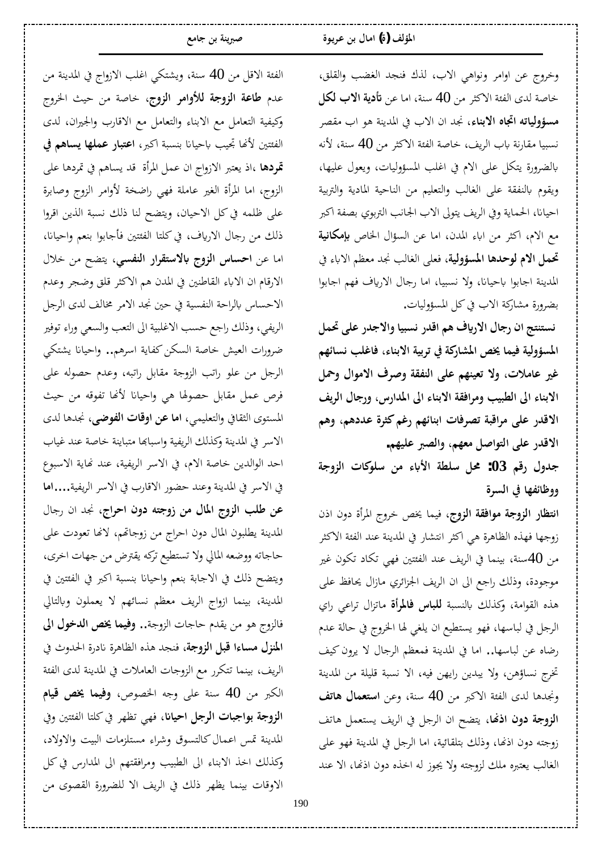وخروج عن اوامر ونواهي الاب، لذك فنجد الغضب والقلق، خاصة لدى الفئة الاكثر من 40 سنة، اما عن **تأدية الاب لكل** م**سؤولياته اتجاه الابناء**، نجد ان الاب في المدينة هو اب مقصر نسبيا مقارنة باب الريف، خاصة الفئة الاكثر من 40 سنة، لأنه بالضرورة يتكل على الام في اغلب المسؤوليات، ويعول عليها، ويقوم بالنفقة على الغالب والتعليم من الناحية المادية والتربية احيانا، الحماية وفي الريف يتولى الاب الجانب التربوي بصفة اكبر مع الام، أكثر من اباء المدن، اما عن السؤال الخاص **بإمكانية** تحمل الام لوحدها المسؤولية، فعل<sub>ى</sub> الغالب نجد معظم الاباء في المدينة اجابوا باحيانا، ولا نسبيا، اما رجال الارياف فهم اجابوا بضرورة مشاركة الاب في كل المسؤوليات.

نستنتج ان رجال الارياف هم اقدر نسبيا والاجدر على تحمل المسؤولية فيما يخص المشاركة في تربية الابناء، فاغلب نسائهم غير عاملات، ولا تعينهم على النفقة وصرف الاموال وحمل الابناء الى الطبيب ومرافقة الابناء الى المدارس، ورجال الريف الاقدر على مراقبة تصرفات ابنائهم رغم كثرة عددهم، وهم الاقدر على التواصل معهم، والصبر عليهم.

جدول رقم 03: محل سلطة الأباء من سلوكات الزوجة ووظائفها في السرة

ا**نتظار الزوجة موافقة الزوج**، فيما يخص خروج المرأة دون اذن زوجها فهذه الظاهرة هي اكثر انتشار في المدينة عند الفئة الاكثر من 40سنة، بينما في الريف عند الفئتين فهي تكاد تكون غير موجودة، وذلك راجع الى ان الريف الجزائري مازال يحافظ على هذه القوامة، وكذلك بالنسبة **للباس فالمرأة** ماتزال تراعي راي الرجل في لباسها، فهو يستطيع ان يلغي لها الخروج في حالة عدم رضاه عن لباسها.. اما في المدينة فمعظم الرجال لا يرون كيف تخرج نساؤهن، ولا يبدين رايهن فيه، الا نسبة قليلة من المدينة ونجدها لدى الفئة الاكبر من 40 سنة، وعن **استعمال هاتف** ا**لزوجة دون اذنها**، يتضح ان الرجل في الريف يستعمل هاتف زوجته دون اذنها، وذلك بتلقائية، اما الرجل في المدينة فهو على الغالب يعتبره ملك لزوجته ولا يجوز له اخذه دون اذنها، الا عند

الفئة الاقل من 40 سنة، ويشتكي اغلب الازواج في المدينة من عدم **طاعة الزوجة للأوامر الزوج**، خاصة من حيث الخروج وكيفية التعامل مع الابناء والتعامل مع الاقارب والجيران، لدى الفئتين لأنها تجيب باحيانا بنسبة اكبر، **اعتبار عملها يساهم في** قمودها ،اذ يعتبر الازواج ان عمل المرأة قد يساهم في تمردها على الزوج، اما المرأة الغير عاملة فهي راضخة لأوامر الزوج وصابرة على ظلمه في كل الاحيان، ويتضح لنا ذلك نسبة الذين اقروا ذلك من رجال الارياف، في كلتا الفئتين فأجابوا بنعم واحيانا، اما عن **احساس الزوج بالاستقرار النفسي**، يتضح من خلال الارقام ان الاباء القاطنين في المدن هم الاكثر قلق وضجر وعدم الاحساس بالراحة النفسية في حين نجد الامر مخالف لدى الرجل الريفي، وذلك راجع حسب الاغلبية الى التعب والسعي وراء توفير ضرورات العيش خاصة السكن كفاية اسرهم.. وإحيانا يشتكي الرجل من علو راتب الزوجة مقابل راتبه، وعدم حصوله على فرص عمل مقابل حصولها هي واحيانا لأنها تفوقه من حيث المستوى الثقافي والتعليمي، **اما عن اوقات الفوضي**، نجدها لدى الاسر في المدينة وكذلك الريفية واسبابها متباينة خاصة عند غياب احد الوالدين خاصة الام، في الاسر الريفية، عند نماية الاسبوع في الاسر في المدينة وعند حضور الاقارب في الاسر الريفية....**اما** عن طلب الزوج المال من زوجته دون احراج، نجد ان رجال المدينة يطلبون المال دون احراج من زوجاتهم، لانها تعودت على حاجاته ووضعه المالي ولا تستطيع تركه يقترض من جهات اخرى، ويتضح ذلك في الاجابة بنعم واحيانا بنسبة أكبر في الفئتين في المدينة، بينما ازواج الريف معظم نسائهم لا يعملون وبالتالي فالزوج هو من يقدم حاجات الزوجة.. **وفيما يخص الدخول الي** ا**لمنزل مساءا قبل الزوجة**، فنجد هذه الظاهرة نادرة الحدوث في الريف، بينما تتكرر مع الزوجات العاملات في المدينة لدى الفئة الكبر من 40 سنة على وجه الخصوص، **وفيما يخص قيام** ا**لزوجة بواجبات الرجل احيان**ا، فهي تظهر في كلتا الفئتين وفي المدينة تمس اعمال كالتسوق وشراء مستلزمات البيت والاولاد، وكذلك اخذ الابناء الى الطبيب ومرافقتهم الى المدارس في كل الاوقات بينما يظهر ذلك في الريف الا للضرورة القصوى من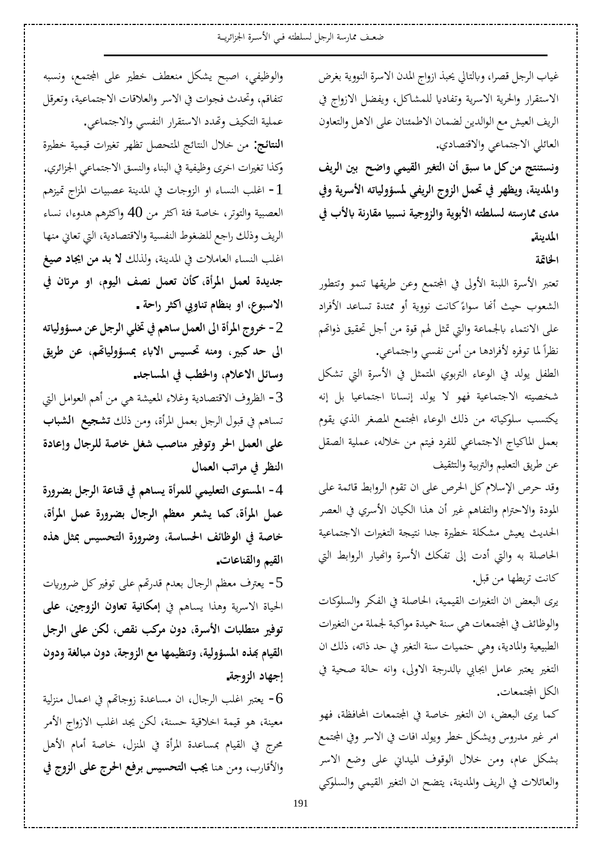ضعف ممارسة الرجل لسلطته فيي الأسرة الجزائريــة

غياب الرجل قصرا، وبالتالي يحبذ ازواج المدن الاسرة النووية بغرض الاستقرار والحرية الاسرية وتفاديا للمشاكل، ويفضل الازواج في الريف العيش مع الوالدين لضمان الاطمئنان على الاهل والتعاون العائلي الاجتماعي والاقتصادي.

ونستنتج من كل ما سبق أن التغير القيمي واضح بين الريف والمدينة، ويظهر في تحمل الزوج الريفي لمسؤولياته الأسرية وفي مدى ممارسته لسلطته الأبوية والزوجية نسبيا مقارنة بالأب في **المدينة.** 

**الخاتمة** 

تعتبر الأسرة اللبنة الأولى في المجتمع وعن طريقها تنمو وتتطور الشعوب حيث أنحا سواءً كانت نووية أو ممتدة تساعد الأفراد Å على الانتماء بالجماعة والتي تمثل لهم قوة من أجل تحقيق ذواتمم نظراً لما توفره لأفرادها من أمن نفسي واجتماعي.

الطفل يولد في الوعاء التربوي المتمثل في الأسرة التي تشكل شخصيته الاجتماعية فهو لا يولد إنسانا اجتماعيا بل إنه يكتسب سلوكياته من ذلك الوعاء المجتمع المصغر الذي يقوم بعمل الماكياج الاجتماعي للفرد فيتم من خلاله، عملية الصقل عن طريق التعليم والتربية والتثقيف

وقد حرص الإسلام كل الحرص على ان تقوم الروابط قائمة على المودة والاحترام والتفاهم غير أن هذا الكيان الأسري في العصر الحديث يعيش مشكلة خطيرة جدا نتيجة التغيرات الاجتماعية الحاصلة به والتي أدت إلى تفكك الأسرة وانميار الروابط التي كانت تربطها من قبل.

يرى البعض ان التغيرات القيمية، الحاصلة في الفكر والسلوكات والوظائف في المجتمعات هي سنة حميدة مواكبة لجملة من التغيرات الطبيعية والمادية، وهي حتميات سنة التغير في حد ذاته، ذلك ان التغير يعتبر عامل ايجابي بالدرجة الاولي، وانه حالة صحية في الكل المجتمعات.

كما يرى البعض، ان التغير خاصة في المجتمعات المحافظة، فهو امر غير مدروس ويشكل خطر ويولد افات في الاسر وفي المجتمع بشكل عام، ومن خلال الوقوف الميداني على وضع الاسر والعائلات في الريف والمدينة، يتضح ان التغير القيمي والسلوكي

والوظيفي، اصبح يشكل منعطف خطير على المجتمع، ونسبه تتفاقم، وتحدث فجوات في الاسر والعلاقات الاجتماعية، وتعرقل عملية التكيف وتهدد الاستقرار النفسي والاجتماعي. ا**لنتائج**: من خلال النتائج المتحصل تظهر تغيرات قيمية خطيرة وكذا تغيرات اخرى وظيفية في البناء والنسق الاجتماعي الجزائري. أ − اغلب النساء او الزوجات في المدينة عصبيات المزاج تميزهم العصبية والتوتر، خاصة فئة اكثر من 40 واكثرهم هدوءا، نساء الريف وذلك راجع للضغوط النفسية والاقتصادية، التي تعاني منها اغلب النساء العاملات في المدينة، ولذلك **لا بد من ايجاد صيغ** جديدة لعمل المرأة، كأن تعمل نصف اليوم، او مرتان في الاسبوع، او بنظام تناوبي أكثر راحة . ـ<br>2− خروج المرأة الي العمل ساهم في تخلي الرجل عن مسؤولياته

الى حد كبير، ومنه تحسيس الاباء بمسؤولياتهم، عن طريق وسائل الاعلام، والخطب في المساجد.

3− الظروف الاقتصادية وغلاء المعيشة هي من أهم العوامل التي تساهم في قبول الرجل بعمل المرأة، ومن ذلك **تشجيع الشباب** على العمل الحر وتوفير مناصب شغل خاصة للرجال وإعادة النظر في مراتب العمال

4− المستوى التعليمي للمرأة يساهم في قناعة الرجل بضرورة عمل المرأة، كما يشعر معظم الرجال بضرورة عمل المرأة، خاصة في الوظائف الحساسة، وضرورة التحسيس بمثل هذه القيم والقناعات.

5 - يعترف معظم الرجال بعدم قدرتهم على توفير كل ضروريات الحياة الاسرية وهذا يساهم في إ**مكانية تعاون الزوجين، على** توفير متطلبات الأسرة، دون مركب نقص، لكن على الرجل القيام بَمذه المسؤولية، وتنظيمها مع الزوجة، دون مبالغة ودون إجهاد الزوجة.

وحتبر اغلب الرجال، ان مساعدة زوجاتهم في اعمال منزلية – معينة، هو قيمة اخلاقية حسنة، لكن يجد اغلب الازواج الأمر محرج في القيام بمساعدة المرأة في المنزل، خاصة أمام الأهل والأقارب، ومن هنا يجب ا**لتحسيس برفع الحرج على الزوج في**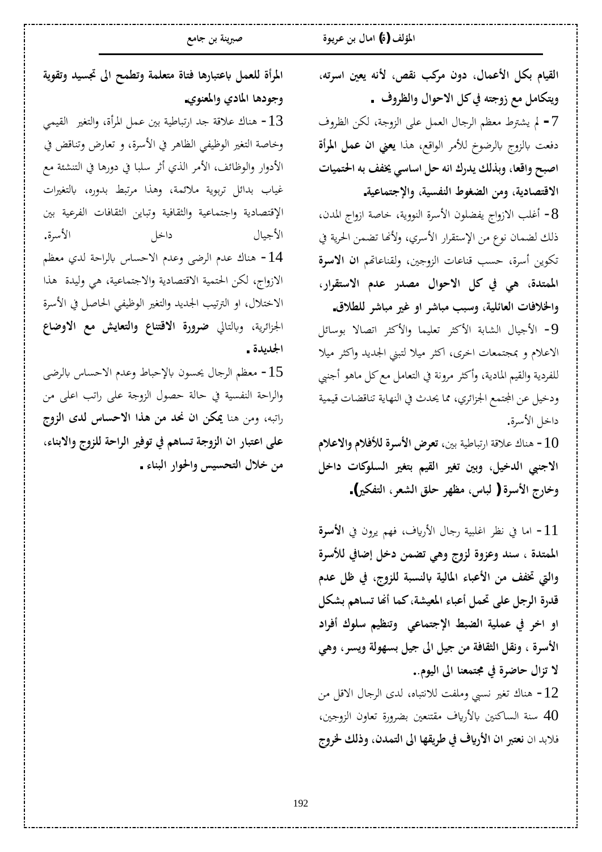القيام بكل الأعمال، دون مركب نقص، لأنه يعين اسرته، ويتكامل مع زوجته في كل الاحوال والظروف . 7− لم يشترط معظم الرجال العمل على الزوجة، لكن الظروف دفعت بالزوج بالرضوخ للأمر الواقع، هذا **يعني ان عمل المرأة** اصبح واقعا، وبذلك يدرك انه حل اساسي يخفف به ا<del>ل</del>تميات الاقتصادية، ومن الضغوط النفسية، والإجتماعية.

&− أغلب الازواج يفضلون الأسرة النووية، خاصة ازواج المدن، ذلك لضمان نوع من الإستقرار الأسري، ولأنها تضمن الحرية في تكوين أسرة، حسب قناعات الزوجين، ولقناعاتهم ا**ن الاسرة** الممتدة، هي في كل الاحوال مصدر عدم الاستقرار، والخلافات العائلية، وسبب مباشر او غير مباشر للطلاق.

 DzƟƢLJȂƥ ȏƢǐƫ¦ ǂưǯȋ¦Â ƢǸȈǴǠƫ ǂưǯȋ¦ ƨƥƢnjdz¦ ¾ƢȈƳȋ¦ -9 الاعلام و بمجتمعات اخرى، اكثر ميلا لتبنى الجديد واكثر ميلا للفردية والقيم المادية، وأكثر مرونة في التعامل مع كل ماهو أجنبي ودخيل عن المجتمع الجزائري، مما يحدث في النهاية تناقضات قيمية داخل الأسرة.

 **¿Ȑǟȏ¦Â¿ȐǧȌdz¨ǂLJȋ¦µǂǠƫ** śƥƨȈǗƢƦƫ°¦ƨǫȐǟ½ƢǼǿ -10 الاجنبي الدخيل، وبين تغير القيم بتغير السلوكات داخل وخارج الأسرة ( لباس، مظهر حلق الشعر، التفكير).

<mark>1 − اما في نظر اغلبية رجال الأرياف، فهم يرون في **الأسرة**</mark> الممتدة ، سند وعزوة لزوج وهي تضمن دخل إضافي للأسرة والتي تخفف من الأعباء المالية بالنسبة للزوج، في ظل عدم قدرة الرجل على تحمل أعباء المعيشة، كما أنها تساهم بشكل او اخر في عملية الضبط الإجتماعي وتنظيم سلوك أفراد الأسرة ، ونقل الثقافة من جيل الى جيل بسهولة ويسر ، وهي لا تزال حاضرة في مجتمعنا الى اليوم.. خناك تغير نسبي وملفت للانتباه، لدى الرجال الاقل من $12\,$ سنة الساكنين بالأرياف مقتنعين بضرورة تعاون الزوجين،  $40\,$ فلابد ان نعتبر ان الأرياف في طريقها الى التمدن، وذلك <del>لخ</del>روج

المرأة للعمل باعتبارها فتاة متعلمة وتطمح الى تجسيد وتقوية وجودها المادي والمعنوي.

 ȆǸȈǬdz¦ ŚǤƬdz¦Â¨¢ǂŭ¦DzǸǟśƥƨȈǗƢƦƫ°¦ƾƳƨǫȐǟ½ƢǼǿ -13 وخاصة التغير الوظيفي الظاهر في الأسرة، و تعارض وتناقض في الأدوار والوظائف، الأمر الذي أثر سلبا في دورها في التنشئة مع غياب بدائل تربوية ملائمة، وهذا مرتبط بدوره، بالتغيرات الإقتصادية واجتماعية والثقافية وتباين الثقافات الفرعية بين .¨ǂLJȋ¦ Dzƻ¦® ¾ƢȈƳȋ¦ 14 - هناك عدم الرضي وعدم الاحساس بالراحة لدي معظم الازواج، لكن الحتمية الاقتصادية والاجتماعية، هي وليدة هذا الاختلال، او الترتيب الجديد والتغير الوظيفي الحاصل في الأسرة الجزائرية، وبالتالي **ضرورة الاقتناع والتعايش مع الاوضاع** الجدىدة .

15 معظم الرجال يحسون بالإحباط وعدم الاحساس بالرضي والراحة النفسية في حالة حصول الزوجة على راتب اعلى من راتبه، ومن هنا **يمكن ان نحد من هذا الاحساس لدى الزوج** على اعتبار ان الزوجة تساهم في توفير الراحة للزوج والابناء، من خلال التحسيس والحوار البناء .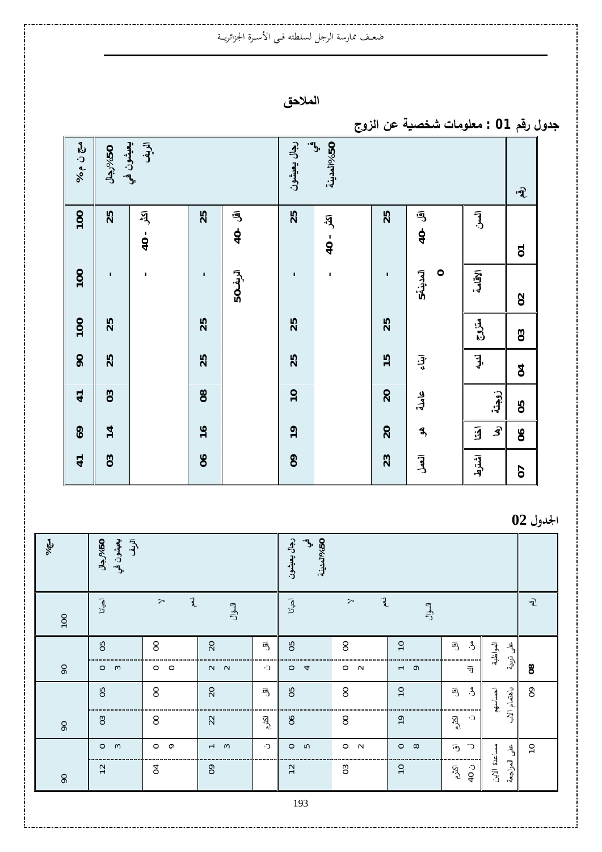## ضعـف ممارسة الرجل لسلطته فـي الأسـرة الجزائريــة

**الملاحق** 

**«Âʚƃ¦ʥŵŗॻʶʳŬ©œƆʦƄŶƆ : 01ʤſ°¾ÂʗŞ**

| $050^{\circ}$ رجال |               | بيعيشون في<br>الزيف                                |                |            | رجال يعيشون    | $\mathbf{v}$<br>50%المدينة                      |                 |                     |                                                |                                           |
|--------------------|---------------|----------------------------------------------------|----------------|------------|----------------|-------------------------------------------------|-----------------|---------------------|------------------------------------------------|-------------------------------------------|
| 100                | 25            | $\overline{A}$<br>$\blacksquare$<br>$\overline{Q}$ | 25             | 丏<br>$40-$ | 25             | $\overline{A}$<br>$\mathbf I$<br>$\overline{0}$ | 25              | 丏<br>$40-$          | $\begin{matrix} \bar{\mathbf{J}} \end{matrix}$ | $\widehat{\mathcal{R}}$<br>$\overline{c}$ |
| 100                | п             | $\mathbf{I}$                                       | T,             | الريف05    | $\mathbf{I}$   | $\mathbf I$                                     | $\mathbf{I}$    | المدينة5<br>$\circ$ | الاقامة                                        | $\Omega$                                  |
| 100                | 25            |                                                    | 25             |            | 25             |                                                 | 25              |                     | مقزق<br>م                                      | $\mathbf{C}$                              |
| $\overline{6}$     | 25            |                                                    | 25             |            | 25             |                                                 | $\frac{5}{1}$   | 守。                  | Į.                                             | $\overline{c}$                            |
| $\overline{4}$     | $\mathbf{0}3$ |                                                    | 8 <sup>o</sup> |            | $\overline{C}$ |                                                 | 20              | ى<br>لمىل           | زوجته                                          | 80                                        |
| 69                 | 14            |                                                    | $\frac{6}{1}$  |            | $\overline{1}$ |                                                 | $\overline{20}$ | $\mathbf{3}$        | $\widehat{\mathbf{B}}$<br>团                    | $\delta$                                  |
| $\overline{4}$     | $\mathbf{0}3$ |                                                    | 8 <sup>o</sup> |            | $\infty$       |                                                 | 23              | آهگ                 | أشترط                                          | 5                                         |

**1لجدول 02** 

| $\frac{2}{2}$  | يعيشون في<br>$05\%$ ال جال $\%$<br>آو. |                                       |                                    |                                 | $\mathbf{r}$<br>رجال يعيشون<br>05%المدينية |                       |                     |                                        |                                           |                         |
|----------------|----------------------------------------|---------------------------------------|------------------------------------|---------------------------------|--------------------------------------------|-----------------------|---------------------|----------------------------------------|-------------------------------------------|-------------------------|
| 100            | اكيانا                                 | $\mathbf{r}$<br>$\blacktriangleright$ | السؤال                             |                                 | احيانا                                     | $\mathbf{r}$<br>$\!>$ | السؤال              |                                        |                                           | $\widehat{\mathcal{R}}$ |
|                | 50                                     | $\mbox{S}$                            | 20                                 | 泻                               | 50                                         | 8                     | $\overline{C}$      | $\cdot$ 3<br>闯                         | المواظبة<br>$-$ <sup>4</sup> <sub>9</sub> |                         |
| $\mathsf{S}^0$ | $\circ$ $\circ$                        | $\circ$ $\circ$                       | $N$ $N$                            | C.                              | $\circ$ 4                                  | $\circ$ $\sim$        | $\sim$              | 司                                      | تزيية                                     | $_{\rm 8}$              |
|                | 50                                     | $\mathsf{S}$                          | 20                                 | 泻                               | 50                                         | $\mathsf{S}$          | $\overline{10}$     | $\mathcal{E}$<br>巪                     | باهتمام<br>احساسهم                        | $\mathsf{S}$            |
| $^{6}$         | $\mathbf{C}$                           | $\mathsf{S}$                          | 22                                 | $\bar{\mathbb{R}}_{\mathsf{c}}$ | $\delta$                                   | $\mathsf{S}$          | $\overline{1}$      | C.<br>$\vec{R}$                        | $\overline{r}$                            |                         |
|                | $\circ$ $\circ$                        | $\circ$<br>$\sigma$                   | $\sim$<br>$\overline{\phantom{0}}$ | C.                              | $\circ$<br>ഥ                               | $\circ$<br>$\sim$     | $\infty$<br>$\circ$ | $\subset$<br>$\overline{\mathfrak{g}}$ | $\frac{4}{3}$                             | $\overline{c}$          |
| $60\,$         | $\sim$<br>$\overline{\phantom{0}}$     | $\mathfrak{A}$                        | $\delta$                           |                                 | 12                                         | $\mathbf{S}$          | $\overline{10}$     | $\widetilde{\mathbb{R}}^5$<br>$-040$   | مساعدة الأبن<br>العراجعة                  |                         |
|                |                                        |                                       |                                    |                                 | 193                                        |                       |                     |                                        |                                           |                         |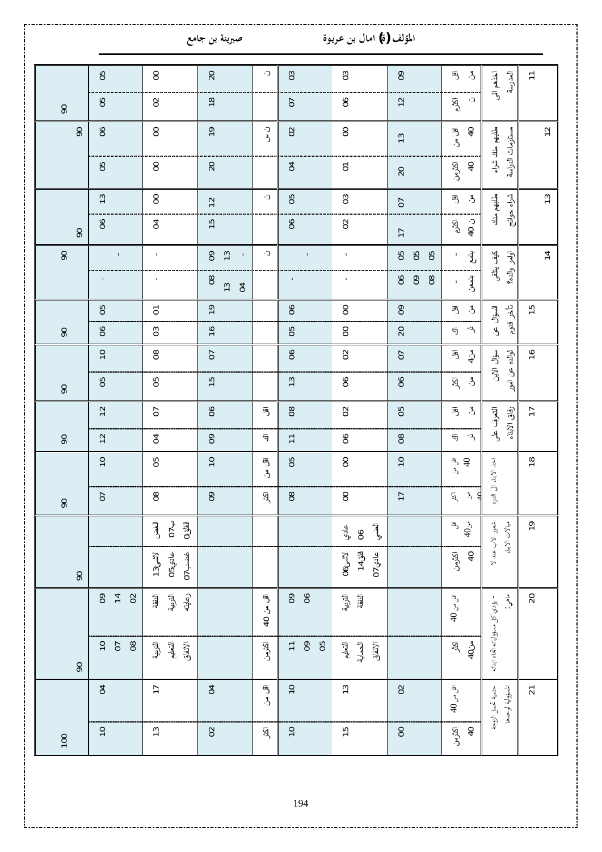|                           |                                                         |                                              | صبرينة بن جامع                         |                          |                                       | المؤلف (ة) امال بن عريوة                   |                                      |                                                                                                                                                                                                                                                                                                                                                                                                                                                                                                                                                    |                                                      |                 |
|---------------------------|---------------------------------------------------------|----------------------------------------------|----------------------------------------|--------------------------|---------------------------------------|--------------------------------------------|--------------------------------------|----------------------------------------------------------------------------------------------------------------------------------------------------------------------------------------------------------------------------------------------------------------------------------------------------------------------------------------------------------------------------------------------------------------------------------------------------------------------------------------------------------------------------------------------------|------------------------------------------------------|-----------------|
|                           |                                                         |                                              |                                        |                          |                                       |                                            |                                      |                                                                                                                                                                                                                                                                                                                                                                                                                                                                                                                                                    |                                                      |                 |
|                           | 50                                                      | $\mathsf{S}$                                 | 20                                     | C.                       | $\mathfrak{S}$                        | $\mathbf{S}$                               | $\mathsf{S}$                         | $\mathcal{E}$<br>丏                                                                                                                                                                                                                                                                                                                                                                                                                                                                                                                                 | اخذهم آلی<br>العدرسة                                 | $\overline{1}$  |
| $\overline{6}$            | 50                                                      | $\Omega$                                     | $18$                                   |                          | <b>CO</b>                             | 9Q                                         | $\overline{c}$                       | $\mathbb{C}^\centerdot$<br>$\vec{R}$                                                                                                                                                                                                                                                                                                                                                                                                                                                                                                               |                                                      |                 |
| $\overline{6}$            | $\delta$                                                | $\mbox{S}$                                   | $\overline{e}$                         | ن۔<br>د                  | $\Omega$                              | $\rm ^{\rm o}$                             | $\frac{1}{3}$                        | آقل بڻ<br>$\overline{a}$                                                                                                                                                                                                                                                                                                                                                                                                                                                                                                                           | طلبهم منك شراء<br>مستلزمات الدراسة                   | $\overline{c}$  |
|                           | 80                                                      | $\rm ^{\rm o}$                               | 20                                     |                          | $\mathfrak{q}$                        | $\overline{\circ}$                         | 20                                   | اكثرمن<br>$\hbox{=}$                                                                                                                                                                                                                                                                                                                                                                                                                                                                                                                               |                                                      |                 |
|                           | 13                                                      | $\rm ^{\rm o}$                               | $12$                                   | C.                       | 50                                    | $\mathbf{S}$                               | 5                                    | $\mathring{\mathcal{E}}$<br>丏                                                                                                                                                                                                                                                                                                                                                                                                                                                                                                                      | شغرا<br>نه<br>طلبهم منك                              | 13              |
| $\overline{6}$            | $\delta$                                                | $\mathfrak{q}$                               | $\frac{15}{2}$                         |                          | $\delta$                              | $\Omega$                                   | $\overline{1}$                       | $-040$<br>$\vec{R}$                                                                                                                                                                                                                                                                                                                                                                                                                                                                                                                                | $\frac{4}{5}$                                        |                 |
| $\mathsf{S}^{\mathsf{O}}$ | $\mathbf{I}$                                            | $\mathbf{I}$                                 | 13<br>$\infty$<br>$\mathbf{I}$         | C.                       | $\mathbf{I}$                          | $\mathbf{I}$                               | 8<br>8<br>50                         | $\ddot{\xi}$<br>$\mathbf{I}$                                                                                                                                                                                                                                                                                                                                                                                                                                                                                                                       | كميف يتلقى<br>أوامر والده؟                           | $\overline{1}$  |
|                           | $\mathbf{I}$                                            | $\mathbf I$                                  | $\infty$<br>$\overline{13}$<br>$\beta$ |                          | $\mathbf{I}$                          | $\mathbf I$                                | $\delta$<br>$\mathsf{S}$<br>$\infty$ | ېقىمىق.<br>$\mathbf I$                                                                                                                                                                                                                                                                                                                                                                                                                                                                                                                             |                                                      |                 |
|                           | 50                                                      | $\overline{\circ}$                           | $\overline{1}$                         |                          | $\delta$                              | $\mathsf{S}$                               | $\mathsf{S}$                         | $\mathfrak{L}$<br>巪                                                                                                                                                                                                                                                                                                                                                                                                                                                                                                                                | ت<br>ا ج<br>السؤال عن                                | $\frac{15}{2}$  |
| $\mathsf{S}^0$            | $\delta$                                                | $\mathbf{S}$                                 | $\frac{6}{2}$                          |                          | 50                                    | $\rm ^{\rm o}$                             | 20                                   | $\ddot{\mathcal{A}}$<br>司                                                                                                                                                                                                                                                                                                                                                                                                                                                                                                                          | $\frac{1}{2}$                                        |                 |
|                           | $\overline{10}$                                         | $_{\rm g}$                                   | $\overline{0}$                         |                          | $\delta$                              | $\mathsf{S}$                               | 5                                    | 丏<br>$4\degree$                                                                                                                                                                                                                                                                                                                                                                                                                                                                                                                                    | لوالده<br>سؤال الابن                                 | $\frac{6}{1}$   |
| $\infty$                  | 80                                                      | 50                                           | $\frac{5}{2}$                          |                          | 13                                    | $\delta$                                   | $\delta$                             | $\mathfrak{L}$<br>$\bar{\mathbb{R}}$                                                                                                                                                                                                                                                                                                                                                                                                                                                                                                               | عن امور                                              |                 |
|                           | $\overline{c}$                                          | <b>PD</b>                                    | 8                                      | 丐                        | $_{\rm g}$                            | $\mathsf{S}$                               | 50                                   | $\mathring{\mathcal{E}}$<br>丏                                                                                                                                                                                                                                                                                                                                                                                                                                                                                                                      | آقوف طر<br>رفاق الأبناء                              | $\overline{1}$  |
| $\mathcal{S}$             | 12                                                      | $\mathfrak{g}$                               | $\mathsf{S}^0$                         | 司                        | $\overline{1}$                        | $\delta$                                   | $\infty$                             | 43<br>司                                                                                                                                                                                                                                                                                                                                                                                                                                                                                                                                            |                                                      |                 |
|                           | $\overline{10}$                                         | 50                                           | $\overline{C}$                         | اقل من                   | 80                                    | $\mbox{S}$                                 | $\approx$                            | هر<br>3<br>پ                                                                                                                                                                                                                                                                                                                                                                                                                                                                                                                                       | اخذ الابناء الى التنزه                               | $\frac{8}{2}$   |
| $\infty$                  | <b>D</b>                                                | $^{\tt 8}$                                   | $\infty$                               | ত্র্                     | $_{\rm 8}$                            | $\mathsf{S}$                               | $\overline{1}$                       | ╡<br>$\mathring{\mathcal{L}}$<br>$\bar{\rm N}$                                                                                                                                                                                                                                                                                                                                                                                                                                                                                                     |                                                      |                 |
|                           |                                                         | $\overline{0}$<br>الغض<br>$0$ اقلق           |                                        |                          |                                       | أآتنى<br>عادي<br>8 <sup>o</sup>            |                                      | $\begin{array}{c} \mathbb{F}_q \downarrow \mathbb{F}_q \downarrow \mathbb{F}_q \downarrow \mathbb{F}_q \downarrow \mathbb{F}_q \downarrow \mathbb{F}_q \downarrow \mathbb{F}_q \downarrow \mathbb{F}_q \downarrow \mathbb{F}_q \downarrow \mathbb{F}_q \downarrow \mathbb{F}_q \downarrow \mathbb{F}_q \downarrow \mathbb{F}_q \downarrow \mathbb{F}_q \downarrow \mathbb{F}_q \downarrow \mathbb{F}_q \downarrow \mathbb{F}_q \downarrow \mathbb{F}_q \downarrow \mathbb{F}_q \downarrow \mathbb{F}_q \downarrow \mathbb{F}_q \downarrow \mathbb$ | شعور الاب عند لا<br>مبالات الابناء                   | $\mathsf{P}$    |
| $\mathsf{Q}$              |                                                         | عادي50<br>غضب 07<br>$13_{\mathring{c}}$ لأشئ |                                        |                          |                                       | قنق 14<br>$06$ نشئ<br>$07$ عادي $\epsilon$ |                                      | $\overline{a}$<br>اكثرمن                                                                                                                                                                                                                                                                                                                                                                                                                                                                                                                           |                                                      |                 |
|                           | $\mathsf{S}^{\mathsf{O}}$<br>$\overline{4}$<br>$\Omega$ | أآخرنية<br>رعايته<br>النفقة                  |                                        | اقل من 40                | $\mathsf{S}^{\mathsf{O}}$<br>$\delta$ | آخرائية.<br>الجوانية<br>النفقة             |                                      | اقل من 40                                                                                                                                                                                                                                                                                                                                                                                                                                                                                                                                          | $\sum_{i=1}^{n}$<br>– يؤدي كل مسؤولياته اتجاه ابنائه | $\overline{20}$ |
| $\infty$                  | $rac{10}{5}$<br>$_{08}$                                 | الإنفاق<br>التعليم<br>التربية                |                                        | اكثرمن                   | $= 8$<br>80                           | الحماية<br>الإنفاق<br>التعليم              |                                      | $\widetilde{K}$<br>$40$ نىم                                                                                                                                                                                                                                                                                                                                                                                                                                                                                                                        |                                                      |                 |
|                           | $\beta$                                                 | $\overline{1}$                               | $\beta$                                | اقل من                   | $\overline{c}$                        | $\overline{13}$                            | $\Omega$                             | اقل من 40                                                                                                                                                                                                                                                                                                                                                                                                                                                                                                                                          | المسؤولية لوحدها<br>حتمية تحمل الزوجة                | $\overline{21}$ |
| 100                       | $\overline{10}$                                         | 13                                           | $\Omega$                               | $\widetilde{\mathbb{R}}$ | $\overline{C}$                        | $\frac{15}{2}$                             | $\mbox{S}$                           | اكثرمن<br>$\overline{a}$                                                                                                                                                                                                                                                                                                                                                                                                                                                                                                                           |                                                      |                 |

 $\sim$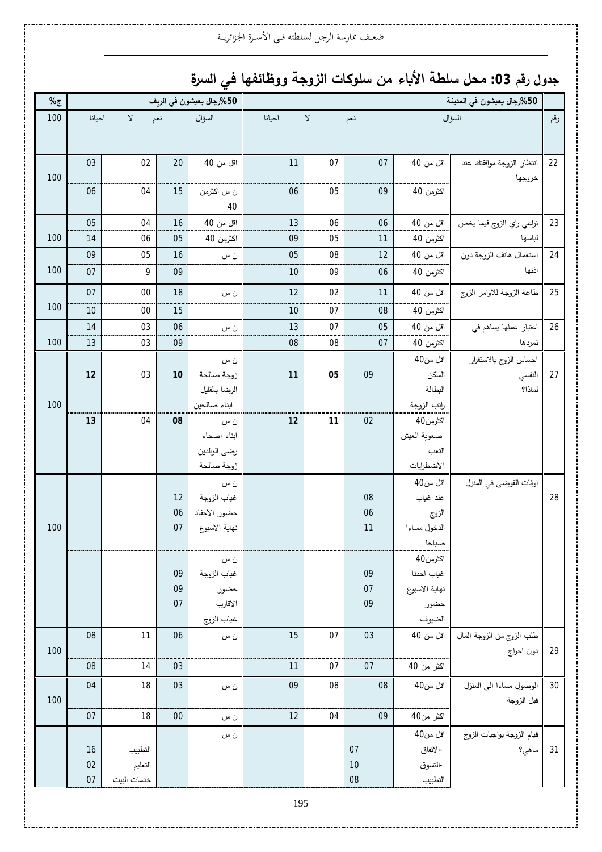### ضعـف ممارسة الرجل لسلطته فـي الأسـرة الجزائريــة

# جدول رقم 03: محل سلطة الأباء من سلوكات الزوجة ووظائفها في السرة

| %   |        |              |          | 50%رجال يعيشون في الريف       | 50%رجال يعيشون في المدينة |             |          |                       |                           |     |  |
|-----|--------|--------------|----------|-------------------------------|---------------------------|-------------|----------|-----------------------|---------------------------|-----|--|
| 100 | احيانا | $\mathsf{Y}$ | نعم      | السؤال                        | احيانا                    | $\mathsf V$ | نعم      |                       | السؤال                    | رقم |  |
|     |        |              |          |                               |                           |             |          |                       |                           |     |  |
|     |        |              |          |                               |                           |             |          |                       |                           |     |  |
|     | 03     | 02           | 20       | اقل من 40                     | 11                        | 07          | 07       | اقل من 40             | انتظار الزوجة موافقتك عند | 22  |  |
| 100 | 06     | 04           | 15       | ن س اكثرمن                    | 06                        | 05          | 09       | اكثرمن 40             | خروجها                    |     |  |
|     |        |              |          | 40                            |                           |             |          |                       |                           |     |  |
|     | 05     | 04           | 16       | اقل من 40                     | 13                        | 06          | 06       | اقل من 40             | تراعي راي الزوج فيما يخص  | 23  |  |
| 100 | 14     | 06           | 05       | اكثرمن 40                     | 09                        | 05          | 11       | اكثرمن 40             | لباسها                    |     |  |
|     | 09     | 05           | 16       | ن س                           | 05                        | 08          | 12       | اقل من 40             | استعمال هاتف الزوجة دون   | 24  |  |
| 100 | 07     | 9            | 09       |                               | 10                        | 09          | 06       | اكثرمن 40             | اذنها                     |     |  |
|     | 07     | $00\,$       | 18       | ن س                           | 12                        | 02          | 11       | اقل من 40             | طاعة الزوجة للاوامر الزوج | 25  |  |
| 100 | 10     | $00\,$       | 15       |                               | 10                        | 07          | 08       | اكثرمن 40             |                           |     |  |
|     | 14     | 03           | 06       | ن س                           | 13                        | $07$        | 05       | اقل من 40             | اعتبار عملها يساهم في     | 26  |  |
| 100 | 13     | 03           | 09       |                               | 08                        | ${\bf 08}$  | 07       | اكثرمن 40             | تمردها                    |     |  |
|     |        |              |          | ن س                           |                           |             |          | اقل من40              | احساس الزوج بالاستقرار    |     |  |
|     | 12     | 03           | $10$     | زوجة صالحة                    | 11                        | 05          | 09       | السكن                 | النفسي                    | 27  |  |
|     |        |              |          | الرضا بالقليل                 |                           |             |          | البطالة               | لماذا؟                    |     |  |
| 100 |        |              |          | ابناء صالحين                  |                           |             |          | راتب الزوجة           |                           |     |  |
|     | 13     | 04           | 08       | ن س                           | 12                        | 11          | 02       | اكثرمن40              |                           |     |  |
|     |        |              |          | ابناء اصحاء                   |                           |             |          | صعوبة العيش           |                           |     |  |
|     |        |              |          | رضي الوالدين                  |                           |             |          | التعب                 |                           |     |  |
|     |        |              |          | زوجة صالحة                    |                           |             |          | الاضطرابات            |                           |     |  |
|     |        |              |          | ن س                           |                           |             |          | اقل من40              | اوقات الفوضى في المنزل    |     |  |
|     |        |              | 12       | غياب الزوجة                   |                           |             | 08<br>06 | عند غياب              |                           | 28  |  |
| 100 |        |              | 06<br>07 | حضور الاحفاد<br>نهاية الاسبوع |                           |             | 11       | الزوج                 |                           |     |  |
|     |        |              |          |                               |                           |             |          | الدخول مساءا<br>صباحا |                           |     |  |
|     |        |              |          | ن س                           |                           |             |          | اكثرمن40              |                           |     |  |
|     |        |              | 09       | غياب الزوجة                   |                           |             | 09       | غياب احدنا            |                           |     |  |
|     |        |              | 09       | حضور                          |                           |             | 07       | نهاية الاسبوع         |                           |     |  |
|     |        |              | 07       | الاقارب                       |                           |             | 09       | حضور                  |                           |     |  |
|     |        |              |          | غياب الزوج                    |                           |             |          | الضيوف                |                           |     |  |
|     | 08     | 11           | 06       | ن س                           | 15                        | 07          | 03       | اقل من 40             | طلب الزوج من الزوجة المال |     |  |
| 100 |        |              |          |                               |                           |             |          |                       | دون احراج                 | 29  |  |
|     | 08     | 14           | 03       |                               | 11                        | 07          | 07       | اكثر من 40            |                           |     |  |
|     | 04     | 18           | 03       | ن س                           | 09                        | ${\bf 08}$  | 08       | اقل من40              | الوصول مساءا الى المنزل   | 30  |  |
| 100 |        |              |          |                               |                           |             |          |                       | قبل الزوجة                |     |  |
|     | 07     | 18           | $00\,$   | ن س                           | 12                        | 04          | 09       | اكثر من40             |                           |     |  |
|     |        |              |          | ن س                           |                           |             |          | اقل من40              | قيام الزوجة بواجبات الزوج |     |  |
|     | 16     | التطبيب      |          |                               |                           |             | 07       | -الانفاق              | ماهي؟                     | 31  |  |
|     | 02     | التعليم      |          |                               |                           |             | 10       | -التسوق               |                           |     |  |
|     | 07     | خدمات البيت  |          |                               |                           |             | 08       | التطبيب               |                           |     |  |